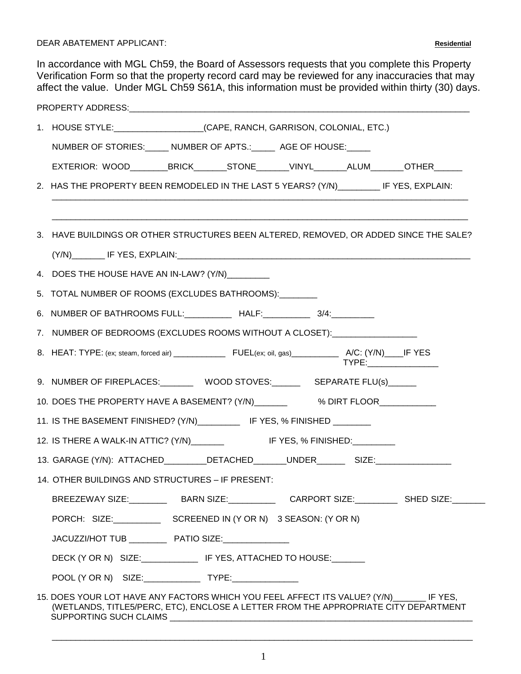DEAR ABATEMENT APPLICANT: **Residential**

In accordance with MGL Ch59, the Board of Assessors requests that you complete this Property Verification Form so that the property record card may be reviewed for any inaccuracies that may affect the value. Under MGL Ch59 S61A, this information must be provided within thirty (30) days.

|                                                                            | 1. HOUSE STYLE: ____________________(CAPE, RANCH, GARRISON, COLONIAL, ETC.)                                                                                                      |  |  |  |  |  |
|----------------------------------------------------------------------------|----------------------------------------------------------------------------------------------------------------------------------------------------------------------------------|--|--|--|--|--|
|                                                                            | NUMBER OF STORIES: _____ NUMBER OF APTS.: _____ AGE OF HOUSE: _____                                                                                                              |  |  |  |  |  |
|                                                                            | EXTERIOR: WOOD_________BRICK_______STONE_______VINYL_______ALUM_______OTHER______                                                                                                |  |  |  |  |  |
|                                                                            | 2. HAS THE PROPERTY BEEN REMODELED IN THE LAST 5 YEARS? (Y/N) ________ IF YES, EXPLAIN:                                                                                          |  |  |  |  |  |
|                                                                            |                                                                                                                                                                                  |  |  |  |  |  |
|                                                                            | 3. HAVE BUILDINGS OR OTHER STRUCTURES BEEN ALTERED, REMOVED, OR ADDED SINCE THE SALE?                                                                                            |  |  |  |  |  |
|                                                                            |                                                                                                                                                                                  |  |  |  |  |  |
|                                                                            | 4. DOES THE HOUSE HAVE AN IN-LAW? (Y/N)________                                                                                                                                  |  |  |  |  |  |
|                                                                            | 5. TOTAL NUMBER OF ROOMS (EXCLUDES BATHROOMS):                                                                                                                                   |  |  |  |  |  |
|                                                                            | 6. NUMBER OF BATHROOMS FULL: ___________ HALF: __________ 3/4: ________                                                                                                          |  |  |  |  |  |
|                                                                            | 7. NUMBER OF BEDROOMS (EXCLUDES ROOMS WITHOUT A CLOSET): __________________                                                                                                      |  |  |  |  |  |
|                                                                            | TYPE:__________________                                                                                                                                                          |  |  |  |  |  |
|                                                                            | 9. NUMBER OF FIREPLACES: WOOD STOVES: SEPARATE FLU(s)                                                                                                                            |  |  |  |  |  |
|                                                                            | 10. DOES THE PROPERTY HAVE A BASEMENT? (Y/N)____________ % DIRT FLOOR___________                                                                                                 |  |  |  |  |  |
| 11. IS THE BASEMENT FINISHED? (Y/N)___________ IF YES, % FINISHED ________ |                                                                                                                                                                                  |  |  |  |  |  |
|                                                                            |                                                                                                                                                                                  |  |  |  |  |  |
|                                                                            | 13. GARAGE (Y/N): ATTACHED_________DETACHED_______UNDER__________SIZE:__________                                                                                                 |  |  |  |  |  |
|                                                                            | 14. OTHER BUILDINGS AND STRUCTURES – IF PRESENT:                                                                                                                                 |  |  |  |  |  |
|                                                                            | BREEZEWAY SIZE:____________BARN SIZE:_______________CARPORT SIZE:____________SHED SIZE:________                                                                                  |  |  |  |  |  |
|                                                                            | PORCH: SIZE: SCREENED IN (Y OR N) 3 SEASON: (Y OR N)                                                                                                                             |  |  |  |  |  |
|                                                                            | JACUZZI/HOT TUB _____________ PATIO SIZE:_________________                                                                                                                       |  |  |  |  |  |
|                                                                            | DECK (Y OR N) SIZE:________________ IF YES, ATTACHED TO HOUSE:_______                                                                                                            |  |  |  |  |  |
|                                                                            | POOL (Y OR N) SIZE: ________________ TYPE: ______________                                                                                                                        |  |  |  |  |  |
|                                                                            | 15. DOES YOUR LOT HAVE ANY FACTORS WHICH YOU FEEL AFFECT ITS VALUE? (Y/N) _______ IF YES,<br>(WETLANDS, TITLE5/PERC, ETC), ENCLOSE A LETTER FROM THE APPROPRIATE CITY DEPARTMENT |  |  |  |  |  |

\_\_\_\_\_\_\_\_\_\_\_\_\_\_\_\_\_\_\_\_\_\_\_\_\_\_\_\_\_\_\_\_\_\_\_\_\_\_\_\_\_\_\_\_\_\_\_\_\_\_\_\_\_\_\_\_\_\_\_\_\_\_\_\_\_\_\_\_\_\_\_\_\_\_\_\_\_\_\_\_\_\_\_\_\_\_\_\_\_